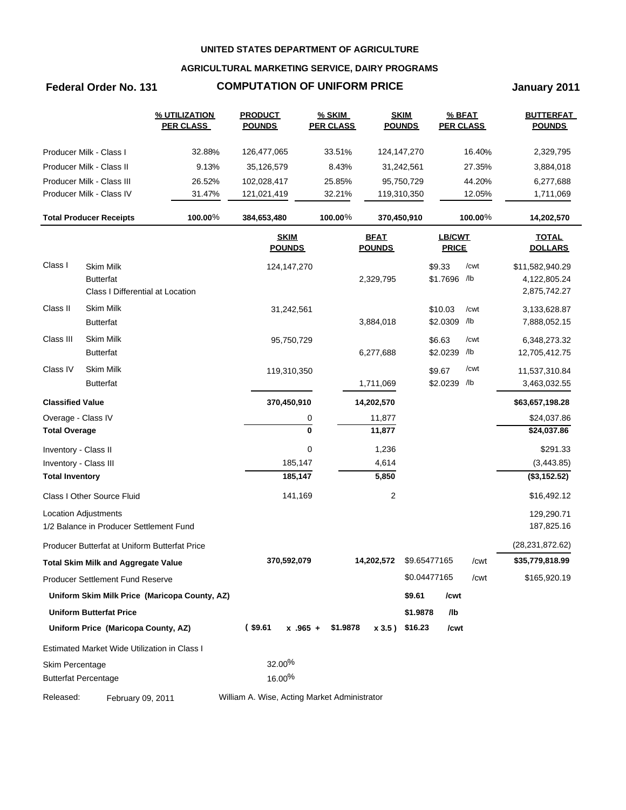## **AGRICULTURAL MARKETING SERVICE, DAIRY PROGRAMS**

# **Federal Order No. 131 COMPUTATION OF UNIFORM PRICE State of Lanuary 2011**

|                             |                                               | % UTILIZATION<br><b>PER CLASS</b>             | <b>PRODUCT</b><br><b>POUNDS</b>              | $%$ SKIM<br><b>PER CLASS</b> | <b>SKIM</b><br><b>POUNDS</b> |              | % BFAT<br><b>PER CLASS</b> |         | <b>BUTTERFAT</b><br><b>POUNDS</b> |
|-----------------------------|-----------------------------------------------|-----------------------------------------------|----------------------------------------------|------------------------------|------------------------------|--------------|----------------------------|---------|-----------------------------------|
|                             | Producer Milk - Class I                       | 32.88%                                        | 126,477,065                                  | 33.51%                       | 124,147,270                  |              |                            | 16.40%  | 2,329,795                         |
|                             | Producer Milk - Class II                      | 9.13%                                         | 35,126,579                                   | 8.43%                        | 31,242,561                   |              |                            | 27.35%  | 3,884,018                         |
|                             | Producer Milk - Class III                     | 26.52%                                        | 102,028,417                                  | 25.85%                       | 95,750,729                   |              |                            | 44.20%  | 6,277,688                         |
|                             | Producer Milk - Class IV                      | 31.47%                                        | 121,021,419                                  | 32.21%                       | 119,310,350                  |              |                            | 12.05%  | 1,711,069                         |
|                             | <b>Total Producer Receipts</b>                | 100.00%                                       | 384,653,480                                  | 100.00%                      | 370,450,910                  |              |                            | 100.00% | 14,202,570                        |
|                             |                                               |                                               | <b>SKIM</b><br><b>POUNDS</b>                 |                              | <b>BFAT</b><br><b>POUNDS</b> |              | LB/CWT<br><b>PRICE</b>     |         | <b>TOTAL</b><br><b>DOLLARS</b>    |
| Class I                     | <b>Skim Milk</b>                              |                                               | 124,147,270                                  |                              |                              |              | \$9.33                     | /cwt    | \$11,582,940.29                   |
|                             | <b>Butterfat</b>                              |                                               |                                              |                              | 2,329,795                    |              | \$1.7696 /lb               |         | 4,122,805.24                      |
|                             | Class I Differential at Location              |                                               |                                              |                              |                              |              |                            |         | 2,875,742.27                      |
| Class II                    | <b>Skim Milk</b>                              |                                               | 31,242,561                                   |                              |                              |              | \$10.03                    | /cwt    | 3,133,628.87                      |
|                             | <b>Butterfat</b>                              |                                               |                                              |                              | 3,884,018                    |              | \$2.0309 /lb               |         | 7,888,052.15                      |
| Class III                   | Skim Milk                                     |                                               | 95,750,729                                   |                              |                              |              | \$6.63                     | /cwt    | 6,348,273.32                      |
|                             | <b>Butterfat</b>                              |                                               |                                              |                              | 6,277,688                    |              | \$2.0239 /lb               |         | 12,705,412.75                     |
| Class IV                    | <b>Skim Milk</b>                              |                                               | 119,310,350                                  |                              |                              |              | \$9.67                     | /cwt    | 11,537,310.84                     |
|                             | <b>Butterfat</b>                              |                                               |                                              |                              | 1,711,069                    |              | \$2.0239 /lb               |         | 3,463,032.55                      |
| <b>Classified Value</b>     |                                               |                                               | 370,450,910                                  |                              | 14,202,570                   |              |                            |         | \$63,657,198.28                   |
| Overage - Class IV          |                                               |                                               |                                              | 0                            | 11,877                       |              |                            |         | \$24,037.86                       |
| <b>Total Overage</b>        |                                               |                                               |                                              | 0                            | 11,877                       |              |                            |         | \$24,037.86                       |
| Inventory - Class II        |                                               |                                               |                                              | 0                            | 1,236                        |              |                            |         | \$291.33                          |
| Inventory - Class III       |                                               |                                               | 185,147                                      |                              | 4,614                        |              |                            |         | (3,443.85)                        |
| <b>Total Inventory</b>      |                                               |                                               | 185,147                                      |                              | 5,850                        |              |                            |         | (\$3,152.52)                      |
|                             | Class I Other Source Fluid                    |                                               | 141,169                                      |                              | $\overline{c}$               |              |                            |         | \$16,492.12                       |
|                             | Location Adjustments                          |                                               |                                              |                              |                              |              |                            |         | 129,290.71                        |
|                             | 1/2 Balance in Producer Settlement Fund       |                                               |                                              |                              |                              |              |                            |         | 187,825.16                        |
|                             | Producer Butterfat at Uniform Butterfat Price |                                               |                                              |                              |                              |              |                            |         | (28, 231, 872.62)                 |
|                             | <b>Total Skim Milk and Aggregate Value</b>    |                                               | 370,592,079                                  |                              | 14,202,572                   | \$9.65477165 |                            | /cwt    | \$35,779,818.99                   |
|                             | <b>Producer Settlement Fund Reserve</b>       |                                               |                                              |                              |                              | \$0.04477165 |                            | /cwt    | \$165,920.19                      |
|                             |                                               | Uniform Skim Milk Price (Maricopa County, AZ) |                                              |                              |                              | \$9.61       | /cwt                       |         |                                   |
|                             | <b>Uniform Butterfat Price</b>                |                                               |                                              |                              |                              | \$1.9878     | /lb                        |         |                                   |
|                             | Uniform Price (Maricopa County, AZ)           |                                               | $($ \$9.61<br>$x$ .965 +                     | \$1.9878                     | $x 3.5$ ) \$16.23            |              | /cwt                       |         |                                   |
|                             | Estimated Market Wide Utilization in Class I  |                                               |                                              |                              |                              |              |                            |         |                                   |
| Skim Percentage             |                                               |                                               | 32.00%                                       |                              |                              |              |                            |         |                                   |
| <b>Butterfat Percentage</b> |                                               |                                               | $16.00\%$                                    |                              |                              |              |                            |         |                                   |
| Released:                   | February 09, 2011                             |                                               | William A. Wise, Acting Market Administrator |                              |                              |              |                            |         |                                   |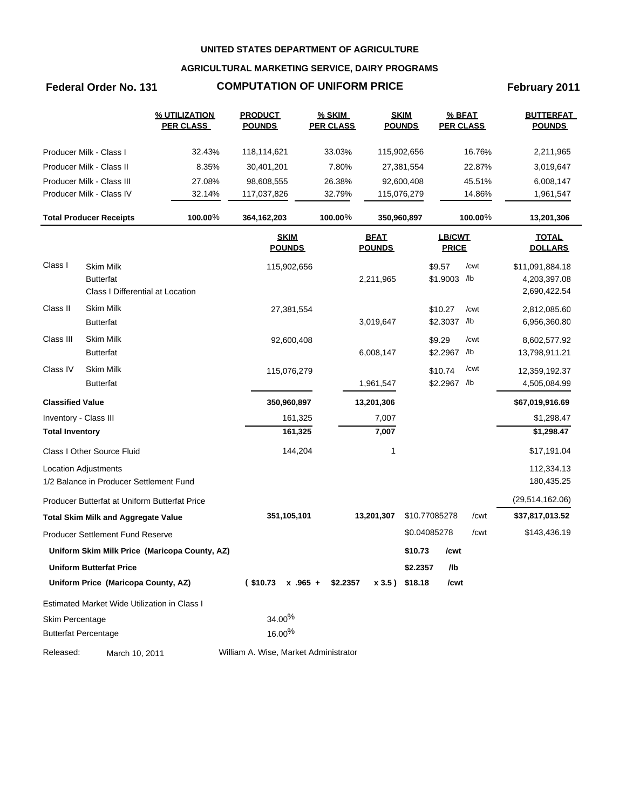## **AGRICULTURAL MARKETING SERVICE, DAIRY PROGRAMS**

# **Federal Order No. 131 COMPUTATION OF UNIFORM PRICE February 2011**

|                         |                                                                          | % UTILIZATION<br><b>PER CLASS</b>             | <b>PRODUCT</b><br><b>POUNDS</b>       | <b>% SKIM</b><br><b>PER CLASS</b> |                              | <b>SKIM</b><br><b>POUNDS</b> | % BFAT<br><b>PER CLASS</b>    |                  | <b>BUTTERFAT</b><br><b>POUNDS</b>               |
|-------------------------|--------------------------------------------------------------------------|-----------------------------------------------|---------------------------------------|-----------------------------------|------------------------------|------------------------------|-------------------------------|------------------|-------------------------------------------------|
|                         | Producer Milk - Class I                                                  | 32.43%                                        | 118,114,621                           | 33.03%                            |                              | 115,902,656                  |                               | 16.76%           | 2,211,965                                       |
|                         | Producer Milk - Class II                                                 | 8.35%                                         | 30,401,201                            | 7.80%                             |                              | 27,381,554                   |                               | 22.87%           | 3,019,647                                       |
|                         | Producer Milk - Class III<br>Producer Milk - Class IV                    | 27.08%<br>32.14%                              | 98,608,555<br>117,037,826             | 26.38%<br>32.79%                  |                              | 92,600,408<br>115,076,279    |                               | 45.51%<br>14.86% | 6,008,147<br>1,961,547                          |
|                         | <b>Total Producer Receipts</b>                                           | 100.00%                                       | 364,162,203                           | 100.00%                           |                              | 350,960,897                  |                               | $100.00\%$       | 13,201,306                                      |
|                         |                                                                          |                                               | <b>SKIM</b><br><b>POUNDS</b>          |                                   | <b>BFAT</b><br><b>POUNDS</b> |                              | <b>LB/CWT</b><br><b>PRICE</b> |                  | <b>TOTAL</b><br><b>DOLLARS</b>                  |
| Class I                 | <b>Skim Milk</b><br><b>Butterfat</b><br>Class I Differential at Location |                                               | 115,902,656                           |                                   | 2,211,965                    |                              | \$9.57<br>\$1.9003 /lb        | /cwt             | \$11,091,884.18<br>4,203,397.08<br>2,690,422.54 |
| Class II                | <b>Skim Milk</b><br><b>Butterfat</b>                                     |                                               | 27,381,554                            |                                   | 3,019,647                    |                              | \$10.27<br>\$2.3037 /lb       | /cwt             | 2,812,085.60<br>6,956,360.80                    |
| Class III               | Skim Milk<br><b>Butterfat</b>                                            |                                               | 92,600,408                            |                                   | 6,008,147                    |                              | \$9.29<br>\$2.2967 /b         | /cwt             | 8,602,577.92<br>13,798,911.21                   |
| Class IV                | <b>Skim Milk</b><br><b>Butterfat</b>                                     |                                               | 115,076,279                           |                                   | 1,961,547                    |                              | \$10.74<br>\$2.2967 /lb       | /cwt             | 12,359,192.37<br>4,505,084.99                   |
| <b>Classified Value</b> |                                                                          |                                               | 350,960,897                           |                                   | 13,201,306                   |                              |                               |                  | \$67,019,916.69                                 |
| Inventory - Class III   |                                                                          |                                               | 161,325                               |                                   | 7,007                        |                              |                               |                  | \$1,298.47                                      |
| <b>Total Inventory</b>  |                                                                          |                                               | 161,325                               |                                   | 7,007                        |                              |                               |                  | \$1,298.47                                      |
|                         | Class I Other Source Fluid                                               |                                               | 144,204                               |                                   | 1                            |                              |                               |                  | \$17,191.04                                     |
|                         | <b>Location Adjustments</b>                                              |                                               |                                       |                                   |                              |                              |                               |                  | 112,334.13                                      |
|                         | 1/2 Balance in Producer Settlement Fund                                  |                                               |                                       |                                   |                              |                              |                               |                  | 180,435.25                                      |
|                         | Producer Butterfat at Uniform Butterfat Price                            |                                               |                                       |                                   |                              |                              |                               |                  | (29, 514, 162.06)                               |
|                         | <b>Total Skim Milk and Aggregate Value</b>                               |                                               | 351,105,101                           |                                   | 13,201,307                   |                              | \$10.77085278                 | /cwt             | \$37,817,013.52                                 |
|                         | Producer Settlement Fund Reserve                                         |                                               |                                       |                                   |                              |                              | \$0.04085278                  | /cwt             | \$143,436.19                                    |
|                         |                                                                          | Uniform Skim Milk Price (Maricopa County, AZ) |                                       |                                   |                              | \$10.73                      | /cwt                          |                  |                                                 |
|                         | <b>Uniform Butterfat Price</b>                                           |                                               |                                       |                                   |                              | \$2.2357                     | /lb                           |                  |                                                 |
|                         | Uniform Price (Maricopa County, AZ)                                      |                                               | $$10.73 \times .965 + $2.2357$        |                                   |                              | x 3.5) \$18.18               | /cwt                          |                  |                                                 |
|                         | Estimated Market Wide Utilization in Class I                             |                                               |                                       |                                   |                              |                              |                               |                  |                                                 |
| Skim Percentage         |                                                                          |                                               | 34.00%                                |                                   |                              |                              |                               |                  |                                                 |
|                         | <b>Butterfat Percentage</b>                                              |                                               | 16.00%                                |                                   |                              |                              |                               |                  |                                                 |
| Released:               | March 10, 2011                                                           |                                               | William A. Wise, Market Administrator |                                   |                              |                              |                               |                  |                                                 |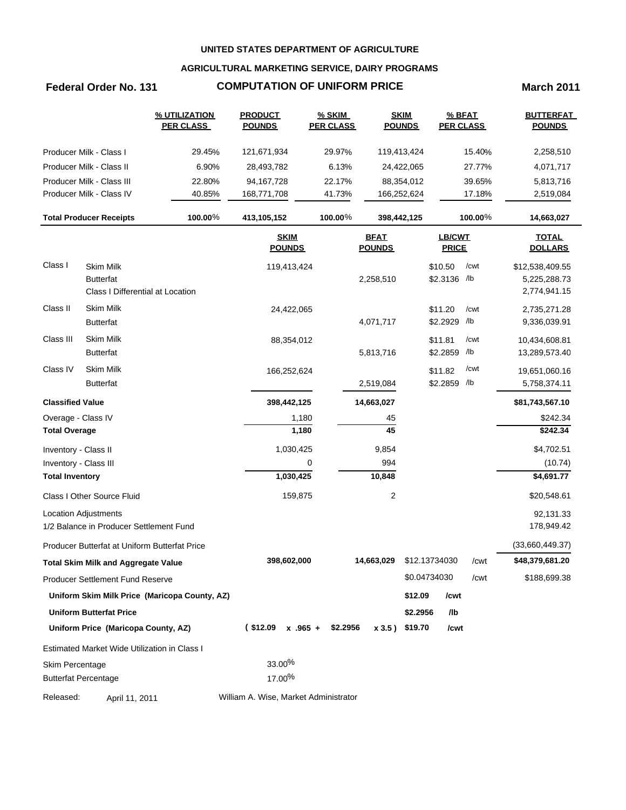## **AGRICULTURAL MARKETING SERVICE, DAIRY PROGRAMS**

# **Federal Order No. 131 COMPUTATION OF UNIFORM PRICE March 2011**

|                             |                                               | % UTILIZATION<br><b>PER CLASS</b>             | <b>PRODUCT</b><br><b>POUNDS</b>       | $%$ SKIM<br><b>PER CLASS</b> | <b>SKIM</b><br><b>POUNDS</b> |               | % BFAT<br><b>PER CLASS</b> |         | <b>BUTTERFAT</b><br><b>POUNDS</b> |
|-----------------------------|-----------------------------------------------|-----------------------------------------------|---------------------------------------|------------------------------|------------------------------|---------------|----------------------------|---------|-----------------------------------|
|                             | Producer Milk - Class I                       | 29.45%                                        | 121,671,934                           | 29.97%                       | 119,413,424                  |               |                            | 15.40%  | 2,258,510                         |
|                             | Producer Milk - Class II                      | 6.90%                                         | 28,493,782                            | 6.13%                        | 24,422,065                   |               |                            | 27.77%  | 4,071,717                         |
|                             | Producer Milk - Class III                     | 22.80%                                        | 94,167,728                            | 22.17%                       | 88,354,012                   |               |                            | 39.65%  | 5,813,716                         |
|                             | Producer Milk - Class IV                      | 40.85%                                        | 168,771,708                           | 41.73%                       | 166,252,624                  |               |                            | 17.18%  | 2,519,084                         |
|                             | <b>Total Producer Receipts</b>                | 100.00%                                       | 413,105,152                           | 100.00%                      | 398,442,125                  |               |                            | 100.00% | 14,663,027                        |
|                             |                                               |                                               | <b>SKIM</b><br><b>POUNDS</b>          |                              | <b>BFAT</b><br><b>POUNDS</b> |               | LB/CWT<br><b>PRICE</b>     |         | <b>TOTAL</b><br><b>DOLLARS</b>    |
| Class I                     | <b>Skim Milk</b>                              |                                               | 119,413,424                           |                              |                              |               | \$10.50                    | /cwt    | \$12,538,409.55                   |
|                             | <b>Butterfat</b>                              |                                               |                                       |                              | 2,258,510                    |               | \$2.3136 /lb               |         | 5,225,288.73                      |
|                             | Class I Differential at Location              |                                               |                                       |                              |                              |               |                            |         | 2,774,941.15                      |
| Class II                    | <b>Skim Milk</b>                              |                                               | 24,422,065                            |                              |                              |               | \$11.20                    | /cwt    | 2,735,271.28                      |
|                             | <b>Butterfat</b>                              |                                               |                                       |                              | 4,071,717                    |               | \$2.2929 /lb               |         | 9,336,039.91                      |
| Class III                   | Skim Milk                                     |                                               | 88,354,012                            |                              |                              |               | \$11.81                    | /cwt    | 10,434,608.81                     |
|                             | <b>Butterfat</b>                              |                                               |                                       |                              | 5,813,716                    |               | \$2.2859 /lb               |         | 13,289,573.40                     |
| Class IV                    | Skim Milk                                     |                                               | 166,252,624                           |                              |                              |               | \$11.82                    | /cwt    | 19,651,060.16                     |
|                             | <b>Butterfat</b>                              |                                               |                                       |                              | 2,519,084                    |               | \$2.2859 /lb               |         | 5,758,374.11                      |
| <b>Classified Value</b>     |                                               |                                               | 398,442,125                           |                              | 14,663,027                   |               |                            |         | \$81,743,567.10                   |
| Overage - Class IV          |                                               |                                               | 1,180                                 |                              | 45                           |               |                            |         | \$242.34                          |
| <b>Total Overage</b>        |                                               |                                               | 1,180                                 |                              | 45                           |               |                            |         | \$242.34                          |
| Inventory - Class II        |                                               |                                               | 1,030,425                             |                              | 9,854                        |               |                            |         | \$4,702.51                        |
| Inventory - Class III       |                                               |                                               | 0                                     |                              | 994                          |               |                            |         | (10.74)                           |
| <b>Total Inventory</b>      |                                               |                                               | 1,030,425                             |                              | 10,848                       |               |                            |         | \$4,691.77                        |
|                             | Class I Other Source Fluid                    |                                               | 159,875                               |                              | $\overline{c}$               |               |                            |         | \$20,548.61                       |
|                             | <b>Location Adjustments</b>                   |                                               |                                       |                              |                              |               |                            |         | 92,131.33                         |
|                             | 1/2 Balance in Producer Settlement Fund       |                                               |                                       |                              |                              |               |                            |         | 178,949.42                        |
|                             | Producer Butterfat at Uniform Butterfat Price |                                               |                                       |                              |                              |               |                            |         | (33,660,449.37)                   |
|                             | <b>Total Skim Milk and Aggregate Value</b>    |                                               | 398,602,000                           |                              | 14,663,029                   | \$12.13734030 |                            | /cwt    | \$48,379,681.20                   |
|                             | <b>Producer Settlement Fund Reserve</b>       |                                               |                                       |                              |                              | \$0.04734030  |                            | /cwt    | \$188,699.38                      |
|                             |                                               | Uniform Skim Milk Price (Maricopa County, AZ) |                                       |                              |                              | \$12.09       | /cwt                       |         |                                   |
|                             | <b>Uniform Butterfat Price</b>                |                                               |                                       |                              |                              | \$2.2956      | /lb                        |         |                                   |
|                             | Uniform Price (Maricopa County, AZ)           |                                               | $($12.09 \times .965 +$               | \$2.2956                     | x 3.5) \$19.70               |               | /cwt                       |         |                                   |
|                             | Estimated Market Wide Utilization in Class I  |                                               |                                       |                              |                              |               |                            |         |                                   |
| Skim Percentage             |                                               |                                               | 33.00%                                |                              |                              |               |                            |         |                                   |
| <b>Butterfat Percentage</b> |                                               |                                               | 17.00%                                |                              |                              |               |                            |         |                                   |
| Released:                   | April 11, 2011                                |                                               | William A. Wise, Market Administrator |                              |                              |               |                            |         |                                   |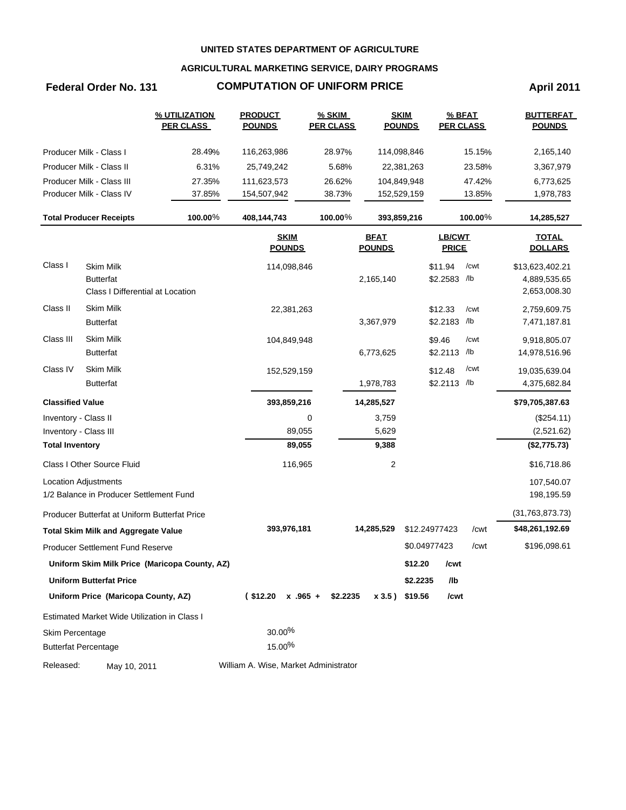## **AGRICULTURAL MARKETING SERVICE, DAIRY PROGRAMS**

# **Federal Order No. 131 COMPUTATION OF UNIFORM PRICE April 2011**

|                         |                                               | % UTILIZATION<br><b>PER CLASS</b>             | <b>PRODUCT</b><br><b>POUNDS</b>       | $%$ SKIM<br><b>PER CLASS</b> |                              | <b>SKIM</b><br><b>POUNDS</b> | % BFAT<br><b>PER CLASS</b> |         | <b>BUTTERFAT</b><br><b>POUNDS</b> |
|-------------------------|-----------------------------------------------|-----------------------------------------------|---------------------------------------|------------------------------|------------------------------|------------------------------|----------------------------|---------|-----------------------------------|
|                         | Producer Milk - Class I                       | 28.49%                                        | 116,263,986                           | 28.97%                       |                              | 114,098,846                  |                            | 15.15%  | 2,165,140                         |
|                         | Producer Milk - Class II                      | 6.31%                                         | 25,749,242                            | 5.68%                        |                              | 22,381,263                   |                            | 23.58%  | 3,367,979                         |
|                         | Producer Milk - Class III                     | 27.35%                                        | 111,623,573                           | 26.62%                       |                              | 104,849,948                  |                            | 47.42%  | 6,773,625                         |
|                         | Producer Milk - Class IV                      | 37.85%                                        | 154,507,942                           | 38.73%                       |                              | 152,529,159                  |                            | 13.85%  | 1,978,783                         |
|                         | <b>Total Producer Receipts</b>                | 100.00%                                       | 408,144,743                           | 100.00%                      |                              | 393,859,216                  |                            | 100.00% | 14,285,527                        |
|                         |                                               |                                               | <b>SKIM</b><br><b>POUNDS</b>          |                              | <b>BFAT</b><br><b>POUNDS</b> |                              | LB/CWT<br><b>PRICE</b>     |         | <b>TOTAL</b><br><b>DOLLARS</b>    |
| Class I                 | <b>Skim Milk</b>                              |                                               | 114,098,846                           |                              |                              |                              | \$11.94                    | /cwt    | \$13,623,402.21                   |
|                         | <b>Butterfat</b>                              |                                               |                                       |                              | 2,165,140                    |                              | \$2.2583 /lb               |         | 4,889,535.65                      |
|                         | Class I Differential at Location              |                                               |                                       |                              |                              |                              |                            |         | 2,653,008.30                      |
| Class II                | <b>Skim Milk</b>                              |                                               | 22,381,263                            |                              |                              |                              | \$12.33                    | /cwt    | 2,759,609.75                      |
|                         | <b>Butterfat</b>                              |                                               |                                       |                              | 3,367,979                    |                              | \$2.2183 /lb               |         | 7,471,187.81                      |
| Class III               | Skim Milk                                     |                                               | 104,849,948                           |                              |                              |                              | \$9.46                     | /cwt    | 9,918,805.07                      |
|                         | <b>Butterfat</b>                              |                                               |                                       |                              | 6,773,625                    |                              | \$2.2113 /lb               |         | 14,978,516.96                     |
| Class IV                | Skim Milk                                     |                                               | 152,529,159                           |                              |                              |                              | \$12.48                    | /cwt    | 19,035,639.04                     |
|                         | <b>Butterfat</b>                              |                                               |                                       |                              | 1,978,783                    |                              | \$2.2113 /lb               |         | 4,375,682.84                      |
| <b>Classified Value</b> |                                               |                                               | 393,859,216                           |                              | 14,285,527                   |                              |                            |         | \$79,705,387.63                   |
| Inventory - Class II    |                                               |                                               |                                       | 0                            | 3,759                        |                              |                            |         | (\$254.11)                        |
| Inventory - Class III   |                                               |                                               | 89,055                                |                              | 5,629                        |                              |                            |         | (2,521.62)                        |
| <b>Total Inventory</b>  |                                               |                                               | 89,055                                |                              | 9,388                        |                              |                            |         | (\$2,775.73)                      |
|                         | Class I Other Source Fluid                    |                                               | 116,965                               |                              | 2                            |                              |                            |         | \$16,718.86                       |
|                         | <b>Location Adjustments</b>                   |                                               |                                       |                              |                              |                              |                            |         | 107,540.07                        |
|                         | 1/2 Balance in Producer Settlement Fund       |                                               |                                       |                              |                              |                              |                            |         | 198,195.59                        |
|                         | Producer Butterfat at Uniform Butterfat Price |                                               |                                       |                              |                              |                              |                            |         | (31, 763, 873.73)                 |
|                         | <b>Total Skim Milk and Aggregate Value</b>    |                                               | 393,976,181                           |                              | 14,285,529                   |                              | \$12.24977423              | /cwt    | \$48,261,192.69                   |
|                         | <b>Producer Settlement Fund Reserve</b>       |                                               |                                       |                              |                              |                              | \$0.04977423               | /cwt    | \$196,098.61                      |
|                         |                                               | Uniform Skim Milk Price (Maricopa County, AZ) |                                       |                              |                              | \$12.20                      | /cwt                       |         |                                   |
|                         | <b>Uniform Butterfat Price</b>                |                                               |                                       |                              |                              | \$2.2235                     | /lb                        |         |                                   |
|                         | Uniform Price (Maricopa County, AZ)           |                                               | $($12.20 \times .965 +$               | \$2.2235                     |                              | x 3.5) \$19.56               | /cwt                       |         |                                   |
|                         | Estimated Market Wide Utilization in Class I  |                                               |                                       |                              |                              |                              |                            |         |                                   |
| Skim Percentage         |                                               |                                               | 30.00%                                |                              |                              |                              |                            |         |                                   |
|                         | <b>Butterfat Percentage</b>                   |                                               | 15.00%                                |                              |                              |                              |                            |         |                                   |
|                         |                                               |                                               |                                       |                              |                              |                              |                            |         |                                   |
| Released:               | May 10, 2011                                  |                                               | William A. Wise, Market Administrator |                              |                              |                              |                            |         |                                   |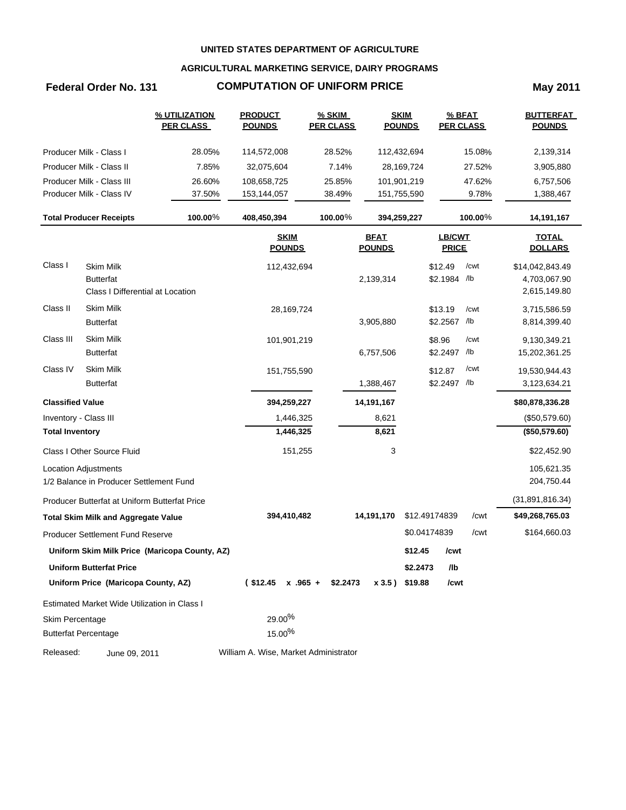## **AGRICULTURAL MARKETING SERVICE, DAIRY PROGRAMS**

# **Federal Order No. 131 COMPUTATION OF UNIFORM PRICE May 2011**

|                         |                                                                                          | % UTILIZATION<br><b>PER CLASS</b>             | <b>PRODUCT</b><br><b>POUNDS</b>       | $%$ SKIM<br><b>PER CLASS</b> |                              | <b>SKIM</b><br><b>POUNDS</b> |                               | % BFAT<br><b>PER CLASS</b> | <b>BUTTERFAT</b><br><b>POUNDS</b>               |
|-------------------------|------------------------------------------------------------------------------------------|-----------------------------------------------|---------------------------------------|------------------------------|------------------------------|------------------------------|-------------------------------|----------------------------|-------------------------------------------------|
|                         | Producer Milk - Class I                                                                  | 28.05%                                        | 114,572,008                           | 28.52%                       |                              | 112,432,694                  |                               | 15.08%                     | 2,139,314                                       |
|                         | Producer Milk - Class II                                                                 | 7.85%                                         | 32,075,604                            | 7.14%                        |                              | 28,169,724                   |                               | 27.52%                     | 3,905,880                                       |
|                         | Producer Milk - Class III                                                                | 26.60%                                        | 108,658,725                           | 25.85%                       |                              | 101,901,219                  |                               | 47.62%                     | 6,757,506                                       |
|                         | Producer Milk - Class IV                                                                 | 37.50%                                        | 153,144,057                           | 38.49%                       |                              | 151,755,590                  |                               | 9.78%                      | 1,388,467                                       |
|                         | <b>Total Producer Receipts</b>                                                           | 100.00%                                       | 408,450,394                           | 100.00%                      |                              | 394,259,227                  |                               | 100.00%                    | 14,191,167                                      |
|                         |                                                                                          |                                               | <b>SKIM</b><br><b>POUNDS</b>          |                              | <b>BFAT</b><br><b>POUNDS</b> |                              | <b>LB/CWT</b><br><b>PRICE</b> |                            | <b>TOTAL</b><br><b>DOLLARS</b>                  |
| Class I                 | Skim Milk<br><b>Butterfat</b><br>Class I Differential at Location                        |                                               | 112,432,694                           |                              | 2,139,314                    |                              | \$12.49<br>\$2.1984 /lb       | /cwt                       | \$14,042,843.49<br>4,703,067.90<br>2,615,149.80 |
| Class II                | <b>Skim Milk</b><br><b>Butterfat</b>                                                     |                                               | 28,169,724                            |                              | 3,905,880                    |                              | \$13.19<br>\$2.2567 /lb       | /cwt                       | 3,715,586.59<br>8,814,399.40                    |
| Class III               | <b>Skim Milk</b><br><b>Butterfat</b>                                                     |                                               | 101,901,219                           |                              | 6,757,506                    |                              | \$8.96<br>\$2.2497 /lb        | /cwt                       | 9,130,349.21<br>15,202,361.25                   |
| Class IV                | <b>Skim Milk</b><br><b>Butterfat</b>                                                     |                                               | 151,755,590                           |                              | 1,388,467                    |                              | \$12.87<br>\$2.2497 /lb       | /cwt                       | 19,530,944.43<br>3,123,634.21                   |
| <b>Classified Value</b> |                                                                                          |                                               | 394,259,227                           |                              | 14,191,167                   |                              |                               |                            | \$80,878,336.28                                 |
| Inventory - Class III   |                                                                                          |                                               | 1,446,325                             |                              | 8,621                        |                              |                               |                            | (\$50,579.60)                                   |
| <b>Total Inventory</b>  |                                                                                          |                                               | 1,446,325                             |                              | 8,621                        |                              |                               |                            | (\$50,579.60)                                   |
|                         | Class I Other Source Fluid                                                               |                                               | 151,255                               |                              | 3                            |                              |                               |                            | \$22,452.90                                     |
|                         | Location Adjustments                                                                     |                                               |                                       |                              |                              |                              |                               |                            | 105,621.35                                      |
|                         | 1/2 Balance in Producer Settlement Fund<br>Producer Butterfat at Uniform Butterfat Price |                                               |                                       |                              |                              |                              |                               |                            | 204,750.44<br>(31, 891, 816.34)                 |
|                         | <b>Total Skim Milk and Aggregate Value</b>                                               |                                               | 394,410,482                           |                              | 14,191,170                   |                              | \$12.49174839                 | /cwt                       | \$49,268,765.03                                 |
|                         | Producer Settlement Fund Reserve                                                         |                                               |                                       |                              |                              |                              | \$0.04174839                  | /cwt                       | \$164,660.03                                    |
|                         |                                                                                          | Uniform Skim Milk Price (Maricopa County, AZ) |                                       |                              |                              | \$12.45                      | /cwt                          |                            |                                                 |
|                         | <b>Uniform Butterfat Price</b>                                                           |                                               |                                       |                              |                              | \$2.2473                     | /lb                           |                            |                                                 |
|                         | Uniform Price (Maricopa County, AZ)                                                      |                                               | $$12.45 \times .965 + $2.2473$        |                              | x 3.5) \$19.88               |                              | /cwt                          |                            |                                                 |
|                         | Estimated Market Wide Utilization in Class I                                             |                                               |                                       |                              |                              |                              |                               |                            |                                                 |
| Skim Percentage         |                                                                                          |                                               | 29.00%                                |                              |                              |                              |                               |                            |                                                 |
|                         | <b>Butterfat Percentage</b>                                                              |                                               | 15.00%                                |                              |                              |                              |                               |                            |                                                 |
| Released:               | June 09, 2011                                                                            |                                               | William A. Wise, Market Administrator |                              |                              |                              |                               |                            |                                                 |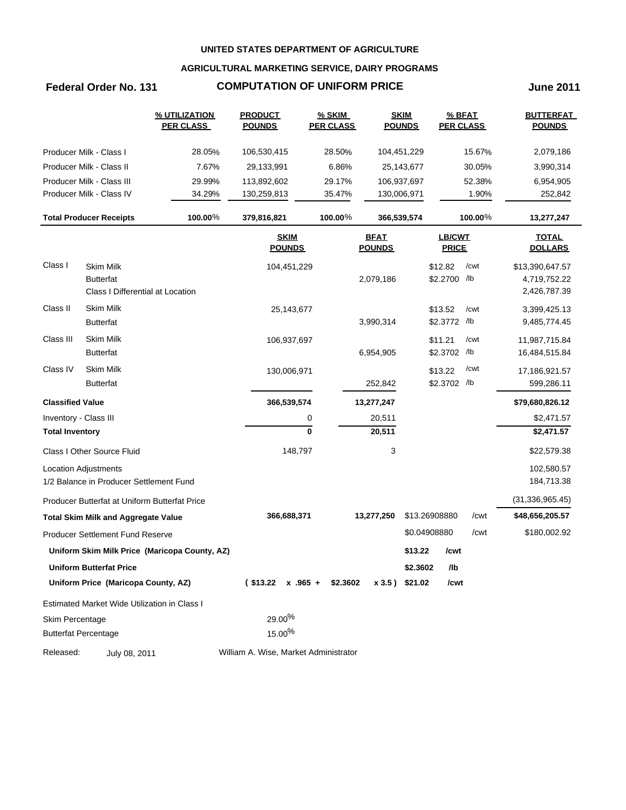## **AGRICULTURAL MARKETING SERVICE, DAIRY PROGRAMS**

# **Federal Order No. 131 COMPUTATION OF UNIFORM PRICE June 2011**

|                         |                                                                          | % UTILIZATION<br><b>PER CLASS</b>             | <b>PRODUCT</b><br><b>POUNDS</b>       | <b>% SKIM</b><br><b>PER CLASS</b> |                              | <b>SKIM</b><br><b>POUNDS</b> | % BFAT<br><b>PER CLASS</b> |         | <b>BUTTERFAT</b><br><b>POUNDS</b>               |
|-------------------------|--------------------------------------------------------------------------|-----------------------------------------------|---------------------------------------|-----------------------------------|------------------------------|------------------------------|----------------------------|---------|-------------------------------------------------|
|                         | Producer Milk - Class I                                                  | 28.05%                                        | 106,530,415                           | 28.50%                            |                              | 104,451,229                  |                            | 15.67%  | 2,079,186                                       |
|                         | Producer Milk - Class II                                                 | 7.67%                                         | 29,133,991                            | 6.86%                             |                              | 25,143,677                   |                            | 30.05%  | 3,990,314                                       |
|                         | Producer Milk - Class III                                                | 29.99%                                        | 113,892,602                           | 29.17%                            |                              | 106,937,697                  |                            | 52.38%  | 6,954,905                                       |
|                         | Producer Milk - Class IV                                                 | 34.29%                                        | 130,259,813                           | 35.47%                            |                              | 130,006,971                  |                            | 1.90%   | 252,842                                         |
|                         | <b>Total Producer Receipts</b>                                           | 100.00%                                       | 379,816,821                           | 100.00%                           |                              | 366,539,574                  |                            | 100.00% | 13,277,247                                      |
|                         |                                                                          |                                               | <b>SKIM</b><br><b>POUNDS</b>          |                                   | <b>BFAT</b><br><b>POUNDS</b> |                              | LB/CWT<br><b>PRICE</b>     |         | <b>TOTAL</b><br><b>DOLLARS</b>                  |
| Class I                 | <b>Skim Milk</b><br><b>Butterfat</b><br>Class I Differential at Location |                                               | 104,451,229                           |                                   | 2,079,186                    |                              | \$12.82<br>\$2.2700 /lb    | /cwt    | \$13,390,647.57<br>4,719,752.22<br>2,426,787.39 |
| Class II                | <b>Skim Milk</b><br><b>Butterfat</b>                                     |                                               | 25,143,677                            |                                   | 3,990,314                    |                              | \$13.52<br>\$2.3772 /lb    | /cwt    | 3,399,425.13<br>9,485,774.45                    |
| Class III               | <b>Skim Milk</b><br><b>Butterfat</b>                                     |                                               | 106,937,697                           |                                   | 6,954,905                    |                              | \$11.21<br>\$2.3702 /lb    | /cwt    | 11,987,715.84<br>16,484,515.84                  |
| Class IV                | <b>Skim Milk</b><br><b>Butterfat</b>                                     |                                               | 130,006,971                           |                                   | 252,842                      |                              | \$13.22<br>\$2.3702 /lb    | /cwt    | 17,186,921.57<br>599,286.11                     |
| <b>Classified Value</b> |                                                                          |                                               | 366,539,574                           |                                   | 13,277,247                   |                              |                            |         | \$79,680,826.12                                 |
| Inventory - Class III   |                                                                          |                                               |                                       | 0                                 | 20,511                       |                              |                            |         | \$2,471.57                                      |
| <b>Total Inventory</b>  |                                                                          |                                               |                                       | $\bf{0}$                          | 20,511                       |                              |                            |         | \$2,471.57                                      |
|                         | Class I Other Source Fluid                                               |                                               | 148,797                               |                                   | 3                            |                              |                            |         | \$22,579.38                                     |
|                         | Location Adjustments<br>1/2 Balance in Producer Settlement Fund          |                                               |                                       |                                   |                              |                              |                            |         | 102,580.57<br>184,713.38                        |
|                         | Producer Butterfat at Uniform Butterfat Price                            |                                               |                                       |                                   |                              |                              |                            |         | (31, 336, 965.45)                               |
|                         | <b>Total Skim Milk and Aggregate Value</b>                               |                                               | 366,688,371                           |                                   | 13,277,250                   |                              | \$13.26908880              | /cwt    | \$48,656,205.57                                 |
|                         | Producer Settlement Fund Reserve                                         |                                               |                                       |                                   |                              |                              | \$0.04908880               | /cwt    | \$180,002.92                                    |
|                         |                                                                          | Uniform Skim Milk Price (Maricopa County, AZ) |                                       |                                   |                              | \$13.22                      | /cwt                       |         |                                                 |
|                         | <b>Uniform Butterfat Price</b>                                           |                                               |                                       |                                   |                              | \$2.3602                     | /lb                        |         |                                                 |
|                         | Uniform Price (Maricopa County, AZ)                                      |                                               | $($13.22 \times .965 +$               | \$2.3602                          | x 3.5) \$21.02               |                              | /cwt                       |         |                                                 |
|                         | Estimated Market Wide Utilization in Class I                             |                                               |                                       |                                   |                              |                              |                            |         |                                                 |
| Skim Percentage         | <b>Butterfat Percentage</b>                                              |                                               | 29.00%<br>15.00%                      |                                   |                              |                              |                            |         |                                                 |
| Released:               | July 08, 2011                                                            |                                               | William A. Wise, Market Administrator |                                   |                              |                              |                            |         |                                                 |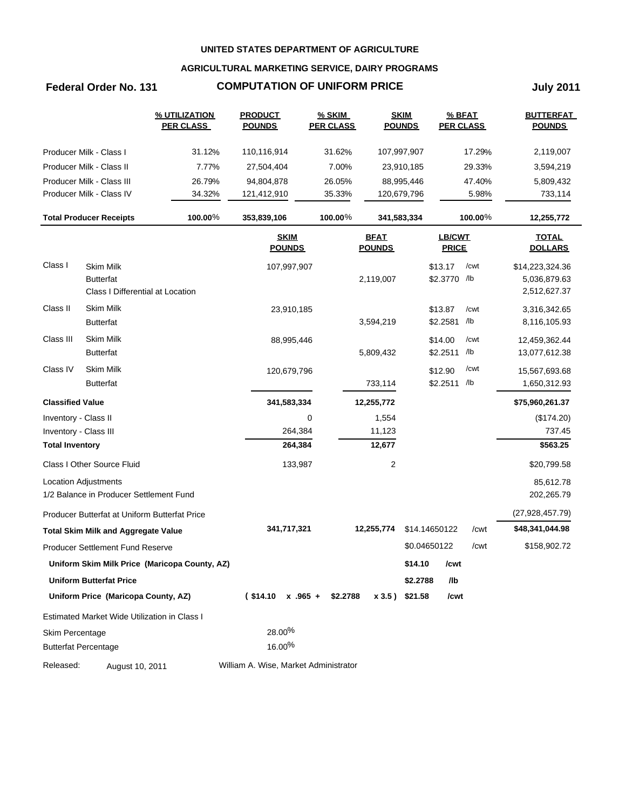## **AGRICULTURAL MARKETING SERVICE, DAIRY PROGRAMS**

# **Federal Order No. 131 COMPUTATION OF UNIFORM PRICE July 2011**

|                         |                                               | % UTILIZATION<br><b>PER CLASS</b>             | <b>PRODUCT</b><br><b>POUNDS</b>       | <b>% SKIM</b><br><b>PER CLASS</b> |                              | <b>SKIM</b><br><b>POUNDS</b> |                         | % BFAT<br><b>PER CLASS</b> | <b>BUTTERFAT</b><br><b>POUNDS</b> |
|-------------------------|-----------------------------------------------|-----------------------------------------------|---------------------------------------|-----------------------------------|------------------------------|------------------------------|-------------------------|----------------------------|-----------------------------------|
|                         | Producer Milk - Class I                       | 31.12%                                        | 110,116,914                           | 31.62%                            |                              | 107,997,907                  |                         | 17.29%                     | 2,119,007                         |
|                         | Producer Milk - Class II                      | 7.77%                                         | 27,504,404                            | 7.00%                             |                              | 23,910,185                   |                         | 29.33%                     | 3,594,219                         |
|                         | Producer Milk - Class III                     | 26.79%                                        | 94,804,878                            | 26.05%                            |                              | 88,995,446                   |                         | 47.40%                     | 5,809,432                         |
|                         | Producer Milk - Class IV                      | 34.32%                                        | 121,412,910                           | 35.33%                            |                              | 120,679,796                  |                         | 5.98%                      | 733,114                           |
|                         | <b>Total Producer Receipts</b>                | 100.00%                                       | 353,839,106                           | 100.00%                           |                              | 341,583,334                  |                         | 100.00%                    | 12,255,772                        |
|                         |                                               |                                               | <b>SKIM</b><br><b>POUNDS</b>          |                                   | <b>BFAT</b><br><b>POUNDS</b> |                              | LB/CWT<br><b>PRICE</b>  |                            | <b>TOTAL</b><br><b>DOLLARS</b>    |
| Class I                 | <b>Skim Milk</b><br><b>Butterfat</b>          |                                               | 107,997,907                           |                                   | 2,119,007                    |                              | \$13.17<br>\$2.3770 /lb | /cwt                       | \$14,223,324.36<br>5,036,879.63   |
|                         | Class I Differential at Location              |                                               |                                       |                                   |                              |                              |                         |                            | 2,512,627.37                      |
| Class II                | Skim Milk                                     |                                               | 23,910,185                            |                                   |                              |                              | \$13.87                 | /cwt                       | 3,316,342.65                      |
|                         | <b>Butterfat</b>                              |                                               |                                       |                                   | 3,594,219                    |                              | \$2.2581                | /lb                        | 8,116,105.93                      |
| Class III               | <b>Skim Milk</b>                              |                                               | 88,995,446                            |                                   |                              |                              | \$14.00                 | /cwt                       | 12,459,362.44                     |
|                         | <b>Butterfat</b>                              |                                               |                                       |                                   | 5,809,432                    |                              | \$2.2511                | /lb                        | 13,077,612.38                     |
| Class IV                | <b>Skim Milk</b>                              |                                               | 120,679,796                           |                                   |                              |                              | \$12.90                 | /cwt                       | 15,567,693.68                     |
|                         | <b>Butterfat</b>                              |                                               |                                       |                                   | 733,114                      |                              | \$2.2511 /lb            |                            | 1,650,312.93                      |
| <b>Classified Value</b> |                                               |                                               | 341,583,334                           |                                   | 12,255,772                   |                              |                         |                            | \$75,960,261.37                   |
| Inventory - Class II    |                                               |                                               |                                       | 0                                 | 1,554                        |                              |                         |                            | (\$174.20)                        |
| Inventory - Class III   |                                               |                                               | 264,384                               |                                   | 11,123                       |                              |                         |                            | 737.45                            |
| <b>Total Inventory</b>  |                                               |                                               | 264,384                               |                                   | 12,677                       |                              |                         |                            | \$563.25                          |
|                         | Class I Other Source Fluid                    |                                               | 133,987                               |                                   | 2                            |                              |                         |                            | \$20,799.58                       |
|                         | Location Adjustments                          |                                               |                                       |                                   |                              |                              |                         |                            | 85,612.78                         |
|                         | 1/2 Balance in Producer Settlement Fund       |                                               |                                       |                                   |                              |                              |                         |                            | 202,265.79                        |
|                         | Producer Butterfat at Uniform Butterfat Price |                                               |                                       |                                   |                              |                              |                         |                            | (27, 928, 457.79)                 |
|                         | <b>Total Skim Milk and Aggregate Value</b>    |                                               | 341,717,321                           |                                   | 12,255,774                   |                              | \$14.14650122           | /cwt                       | \$48,341,044.98                   |
|                         | Producer Settlement Fund Reserve              |                                               |                                       |                                   |                              |                              | \$0.04650122            | /cwt                       | \$158,902.72                      |
|                         |                                               | Uniform Skim Milk Price (Maricopa County, AZ) |                                       |                                   |                              | \$14.10                      | /cwt                    |                            |                                   |
|                         | <b>Uniform Butterfat Price</b>                |                                               |                                       |                                   |                              | \$2.2788                     | /lb                     |                            |                                   |
|                         | Uniform Price (Maricopa County, AZ)           |                                               | $$14.10 \times .965 + $2.2788$        |                                   |                              | x 3.5) \$21.58               | /cwt                    |                            |                                   |
|                         | Estimated Market Wide Utilization in Class I  |                                               |                                       |                                   |                              |                              |                         |                            |                                   |
| Skim Percentage         |                                               |                                               | 28.00%                                |                                   |                              |                              |                         |                            |                                   |
|                         | <b>Butterfat Percentage</b>                   |                                               | 16.00%                                |                                   |                              |                              |                         |                            |                                   |
| Released:               | August 10, 2011                               |                                               | William A. Wise, Market Administrator |                                   |                              |                              |                         |                            |                                   |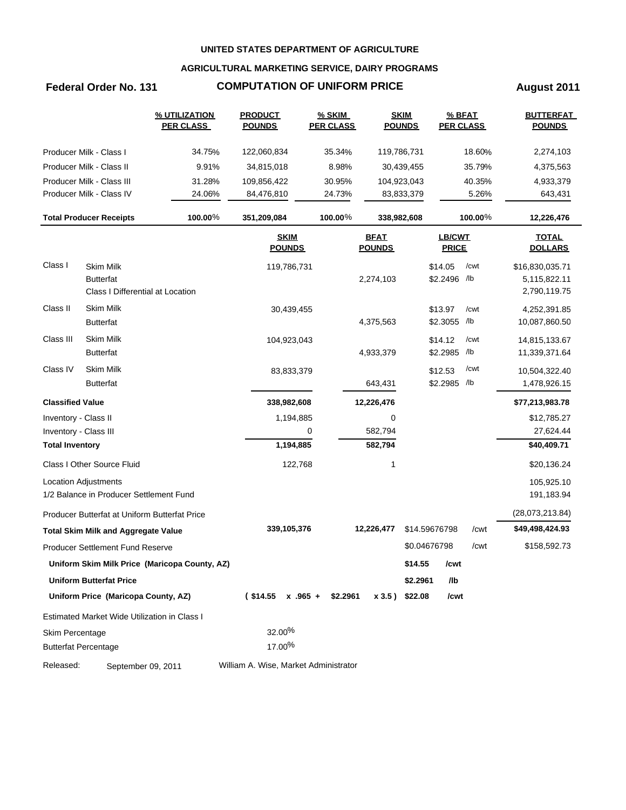## **AGRICULTURAL MARKETING SERVICE, DAIRY PROGRAMS**

# **Federal Order No. 131 COMPUTATION OF UNIFORM PRICE August 2011**

|                         |                                               | <b>% UTILIZATION</b><br><b>PER CLASS</b>      | <b>PRODUCT</b><br><b>POUNDS</b>       | <b>% SKIM</b><br><b>PER CLASS</b> |                              | <b>SKIM</b><br><b>POUNDS</b> | <b>PER CLASS</b>       | % BFAT  | <b>BUTTERFAT</b><br><b>POUNDS</b> |
|-------------------------|-----------------------------------------------|-----------------------------------------------|---------------------------------------|-----------------------------------|------------------------------|------------------------------|------------------------|---------|-----------------------------------|
|                         | Producer Milk - Class I                       | 34.75%                                        | 122,060,834                           | 35.34%                            |                              | 119,786,731                  |                        | 18.60%  | 2,274,103                         |
|                         | Producer Milk - Class II                      | 9.91%                                         | 34,815,018                            | 8.98%                             |                              | 30,439,455                   |                        | 35.79%  | 4,375,563                         |
|                         | Producer Milk - Class III                     | 31.28%                                        | 109,856,422                           | 30.95%                            |                              | 104,923,043                  |                        | 40.35%  | 4,933,379                         |
|                         | Producer Milk - Class IV                      | 24.06%                                        | 84,476,810                            | 24.73%                            |                              | 83,833,379                   |                        | 5.26%   | 643,431                           |
|                         | <b>Total Producer Receipts</b>                | 100.00%                                       | 351,209,084                           | 100.00%                           |                              | 338,982,608                  |                        | 100.00% | 12,226,476                        |
|                         |                                               |                                               | <b>SKIM</b><br><b>POUNDS</b>          |                                   | <b>BFAT</b><br><b>POUNDS</b> |                              | LB/CWT<br><b>PRICE</b> |         | <b>TOTAL</b><br><b>DOLLARS</b>    |
| Class I                 | <b>Skim Milk</b>                              |                                               | 119,786,731                           |                                   |                              |                              | \$14.05                | /cwt    | \$16,830,035.71                   |
|                         | <b>Butterfat</b>                              |                                               |                                       |                                   | 2,274,103                    |                              | \$2.2496 /lb           |         | 5,115,822.11                      |
|                         | Class I Differential at Location              |                                               |                                       |                                   |                              |                              |                        |         | 2,790,119.75                      |
| Class II                | <b>Skim Milk</b>                              |                                               | 30,439,455                            |                                   |                              |                              | \$13.97                | /cwt    | 4,252,391.85                      |
|                         | <b>Butterfat</b>                              |                                               |                                       |                                   | 4,375,563                    |                              | \$2.3055 /lb           |         | 10,087,860.50                     |
| Class III               | Skim Milk                                     |                                               | 104,923,043                           |                                   |                              |                              | \$14.12                | /cwt    | 14,815,133.67                     |
|                         | <b>Butterfat</b>                              |                                               |                                       |                                   | 4,933,379                    |                              | \$2.2985 /lb           |         | 11,339,371.64                     |
| Class IV                | <b>Skim Milk</b>                              |                                               | 83,833,379                            |                                   |                              |                              | \$12.53                | /cwt    | 10,504,322.40                     |
|                         | <b>Butterfat</b>                              |                                               |                                       |                                   | 643,431                      |                              | \$2.2985 /lb           |         | 1,478,926.15                      |
| <b>Classified Value</b> |                                               |                                               | 338,982,608                           |                                   | 12,226,476                   |                              |                        |         | \$77,213,983.78                   |
| Inventory - Class II    |                                               |                                               | 1,194,885                             |                                   | 0                            |                              |                        |         | \$12,785.27                       |
| Inventory - Class III   |                                               |                                               |                                       | 0                                 | 582,794                      |                              |                        |         | 27,624.44                         |
| <b>Total Inventory</b>  |                                               |                                               | 1,194,885                             |                                   | 582,794                      |                              |                        |         | \$40,409.71                       |
|                         | Class I Other Source Fluid                    |                                               | 122,768                               |                                   | 1                            |                              |                        |         | \$20,136.24                       |
|                         | Location Adjustments                          |                                               |                                       |                                   |                              |                              |                        |         | 105,925.10                        |
|                         | 1/2 Balance in Producer Settlement Fund       |                                               |                                       |                                   |                              |                              |                        |         | 191,183.94                        |
|                         | Producer Butterfat at Uniform Butterfat Price |                                               |                                       |                                   |                              |                              |                        |         | (28,073,213.84)                   |
|                         | <b>Total Skim Milk and Aggregate Value</b>    |                                               | 339,105,376                           |                                   | 12,226,477                   |                              | \$14.59676798          | /cwt    | \$49,498,424.93                   |
|                         | <b>Producer Settlement Fund Reserve</b>       |                                               |                                       |                                   |                              |                              | \$0.04676798           | /cwt    | \$158,592.73                      |
|                         |                                               | Uniform Skim Milk Price (Maricopa County, AZ) |                                       |                                   |                              | \$14.55                      | /cwt                   |         |                                   |
|                         | <b>Uniform Butterfat Price</b>                |                                               |                                       |                                   |                              | \$2.2961                     | /lb                    |         |                                   |
|                         | Uniform Price (Maricopa County, AZ)           |                                               | $($14.55 \times .965 +$               | \$2.2961                          |                              | x 3.5) \$22.08               | /cwt                   |         |                                   |
|                         | Estimated Market Wide Utilization in Class I  |                                               |                                       |                                   |                              |                              |                        |         |                                   |
| Skim Percentage         |                                               |                                               | 32.00%                                |                                   |                              |                              |                        |         |                                   |
|                         | <b>Butterfat Percentage</b>                   |                                               | 17.00%                                |                                   |                              |                              |                        |         |                                   |
| Released:               | September 09, 2011                            |                                               | William A. Wise, Market Administrator |                                   |                              |                              |                        |         |                                   |
|                         |                                               |                                               |                                       |                                   |                              |                              |                        |         |                                   |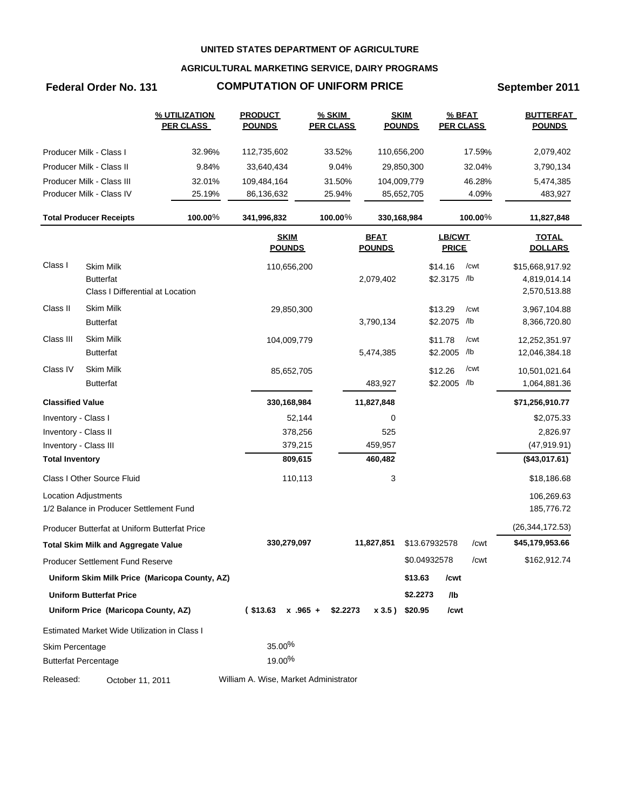## **AGRICULTURAL MARKETING SERVICE, DAIRY PROGRAMS**

# **Federal Order No. 131 COMPUTATION OF UNIFORM PRICE September 2011**

|                         |                                               | % UTILIZATION<br><b>PER CLASS</b>             | <b>PRODUCT</b><br><b>POUNDS</b>       | <b>% SKIM</b><br><b>PER CLASS</b> | <b>SKIM</b><br><b>POUNDS</b> |              | % BFAT<br><b>PER CLASS</b> |         | <b>BUTTERFAT</b><br><b>POUNDS</b> |
|-------------------------|-----------------------------------------------|-----------------------------------------------|---------------------------------------|-----------------------------------|------------------------------|--------------|----------------------------|---------|-----------------------------------|
|                         | Producer Milk - Class I                       | 32.96%                                        | 112,735,602                           | 33.52%                            | 110,656,200                  |              |                            | 17.59%  | 2,079,402                         |
|                         | Producer Milk - Class II                      | 9.84%                                         | 33,640,434                            | 9.04%                             |                              | 29,850,300   |                            | 32.04%  | 3,790,134                         |
|                         | Producer Milk - Class III                     | 32.01%                                        | 109,484,164                           | 31.50%                            | 104,009,779                  |              |                            | 46.28%  | 5,474,385                         |
|                         | Producer Milk - Class IV                      | 25.19%                                        | 86,136,632                            | 25.94%                            |                              | 85,652,705   |                            | 4.09%   | 483,927                           |
|                         | <b>Total Producer Receipts</b>                | 100.00%                                       | 341,996,832                           | 100.00%                           | 330,168,984                  |              |                            | 100.00% | 11,827,848                        |
|                         |                                               |                                               | <b>SKIM</b><br><b>POUNDS</b>          |                                   | <b>BFAT</b><br><b>POUNDS</b> |              | LB/CWT<br><b>PRICE</b>     |         | <b>TOTAL</b><br><b>DOLLARS</b>    |
| Class I                 | <b>Skim Milk</b>                              |                                               | 110,656,200                           |                                   |                              |              | \$14.16                    | /cwt    | \$15,668,917.92                   |
|                         | <b>Butterfat</b>                              |                                               |                                       |                                   | 2,079,402                    |              | \$2.3175 /lb               |         | 4,819,014.14                      |
|                         | Class I Differential at Location              |                                               |                                       |                                   |                              |              |                            |         | 2,570,513.88                      |
| Class II                | <b>Skim Milk</b>                              |                                               | 29,850,300                            |                                   |                              |              | \$13.29                    | /cwt    | 3,967,104.88                      |
|                         | <b>Butterfat</b>                              |                                               |                                       |                                   | 3,790,134                    |              | \$2.2075 /lb               |         | 8,366,720.80                      |
| Class III               | <b>Skim Milk</b>                              |                                               | 104,009,779                           |                                   |                              |              | \$11.78                    | /cwt    | 12,252,351.97                     |
|                         | <b>Butterfat</b>                              |                                               |                                       |                                   | 5,474,385                    |              | \$2.2005 /lb               |         | 12,046,384.18                     |
| Class IV                | <b>Skim Milk</b>                              |                                               | 85,652,705                            |                                   |                              |              | \$12.26                    | /cwt    | 10,501,021.64                     |
|                         | <b>Butterfat</b>                              |                                               |                                       |                                   | 483,927                      |              | \$2.2005 /lb               |         | 1,064,881.36                      |
| <b>Classified Value</b> |                                               |                                               | 330,168,984                           |                                   | 11,827,848                   |              |                            |         | \$71,256,910.77                   |
| Inventory - Class I     |                                               |                                               | 52,144                                |                                   | 0                            |              |                            |         | \$2,075.33                        |
| Inventory - Class II    |                                               |                                               | 378,256                               |                                   | 525                          |              |                            |         | 2,826.97                          |
| Inventory - Class III   |                                               |                                               | 379,215                               |                                   | 459,957                      |              |                            |         | (47, 919.91)                      |
| <b>Total Inventory</b>  |                                               |                                               | 809,615                               |                                   | 460,482                      |              |                            |         | (\$43,017.61)                     |
|                         | Class I Other Source Fluid                    |                                               | 110,113                               |                                   | 3                            |              |                            |         | \$18,186.68                       |
|                         | <b>Location Adjustments</b>                   |                                               |                                       |                                   |                              |              |                            |         | 106,269.63                        |
|                         | 1/2 Balance in Producer Settlement Fund       |                                               |                                       |                                   |                              |              |                            |         | 185,776.72                        |
|                         | Producer Butterfat at Uniform Butterfat Price |                                               |                                       |                                   |                              |              |                            |         | (26, 344, 172.53)                 |
|                         | <b>Total Skim Milk and Aggregate Value</b>    |                                               | 330,279,097                           |                                   | 11,827,851                   |              | \$13.67932578              | /cwt    | \$45,179,953.66                   |
|                         | Producer Settlement Fund Reserve              |                                               |                                       |                                   |                              | \$0.04932578 |                            | /cwt    | \$162,912.74                      |
|                         |                                               | Uniform Skim Milk Price (Maricopa County, AZ) |                                       |                                   |                              | \$13.63      | /cwt                       |         |                                   |
|                         | <b>Uniform Butterfat Price</b>                |                                               |                                       |                                   |                              | \$2.2273     | /lb                        |         |                                   |
|                         | Uniform Price (Maricopa County, AZ)           |                                               | $($13.63 \times .965 +$               | \$2.2273                          | x 3.5) \$20.95               |              | /cwt                       |         |                                   |
|                         | Estimated Market Wide Utilization in Class I  |                                               |                                       |                                   |                              |              |                            |         |                                   |
| Skim Percentage         |                                               |                                               | 35.00%                                |                                   |                              |              |                            |         |                                   |
|                         | <b>Butterfat Percentage</b>                   |                                               | 19.00%                                |                                   |                              |              |                            |         |                                   |
| Released:               | October 11, 2011                              |                                               | William A. Wise, Market Administrator |                                   |                              |              |                            |         |                                   |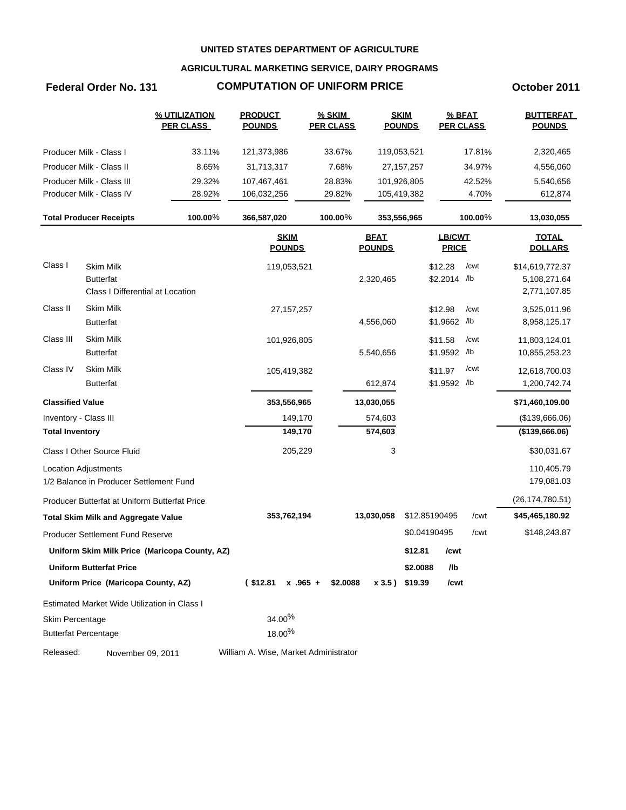## **AGRICULTURAL MARKETING SERVICE, DAIRY PROGRAMS**

# **Federal Order No. 131 COMPUTATION OF UNIFORM PRICE COMPONENT COMPUTATION OF UNIFORM PRICE**

|                         |                                               | % UTILIZATION<br><b>PER CLASS</b>             | <b>PRODUCT</b><br><b>POUNDS</b>       | $%$ SKIM<br><b>PER CLASS</b> |                              | <b>SKIM</b><br><b>POUNDS</b> | <b>PER CLASS</b>        | % BFAT  | <b>BUTTERFAT</b><br><b>POUNDS</b> |
|-------------------------|-----------------------------------------------|-----------------------------------------------|---------------------------------------|------------------------------|------------------------------|------------------------------|-------------------------|---------|-----------------------------------|
|                         | Producer Milk - Class I                       | 33.11%                                        | 121,373,986                           | 33.67%                       |                              | 119,053,521                  |                         | 17.81%  | 2,320,465                         |
|                         | Producer Milk - Class II                      | 8.65%                                         | 31,713,317                            | 7.68%                        |                              | 27, 157, 257                 |                         | 34.97%  | 4,556,060                         |
|                         | Producer Milk - Class III                     | 29.32%                                        | 107,467,461                           | 28.83%                       |                              | 101,926,805                  |                         | 42.52%  | 5,540,656                         |
|                         | Producer Milk - Class IV                      | 28.92%                                        | 106,032,256                           | 29.82%                       |                              | 105,419,382                  |                         | 4.70%   | 612,874                           |
|                         | <b>Total Producer Receipts</b>                | 100.00%                                       | 366,587,020                           | 100.00%                      |                              | 353,556,965                  |                         | 100.00% | 13,030,055                        |
|                         |                                               |                                               | <b>SKIM</b><br><b>POUNDS</b>          |                              | <b>BFAT</b><br><b>POUNDS</b> |                              | LB/CWT<br><b>PRICE</b>  |         | <b>TOTAL</b><br><b>DOLLARS</b>    |
| Class I                 | <b>Skim Milk</b><br><b>Butterfat</b>          |                                               | 119,053,521                           |                              | 2,320,465                    |                              | \$12.28<br>\$2.2014 /lb | /cwt    | \$14,619,772.37<br>5,108,271.64   |
|                         | Class I Differential at Location              |                                               |                                       |                              |                              |                              |                         |         | 2,771,107.85                      |
| Class II                | Skim Milk<br><b>Butterfat</b>                 |                                               | 27, 157, 257                          |                              | 4,556,060                    |                              | \$12.98<br>\$1.9662 /lb | /cwt    | 3,525,011.96<br>8,958,125.17      |
| Class III               | Skim Milk<br><b>Butterfat</b>                 |                                               | 101,926,805                           |                              | 5,540,656                    |                              | \$11.58<br>\$1.9592 /lb | /cwt    | 11,803,124.01<br>10,855,253.23    |
| Class IV                | Skim Milk<br><b>Butterfat</b>                 |                                               | 105,419,382                           |                              | 612,874                      |                              | \$11.97<br>\$1.9592 /lb | /cwt    | 12,618,700.03<br>1,200,742.74     |
|                         |                                               |                                               |                                       |                              |                              |                              |                         |         |                                   |
| <b>Classified Value</b> |                                               |                                               | 353,556,965                           |                              | 13,030,055                   |                              |                         |         | \$71,460,109.00                   |
| Inventory - Class III   |                                               |                                               | 149,170                               |                              | 574,603                      |                              |                         |         | (\$139,666.06)                    |
| <b>Total Inventory</b>  |                                               |                                               | 149,170                               |                              | 574,603                      |                              |                         |         | ( \$139, 666.06)                  |
|                         | Class I Other Source Fluid                    |                                               | 205,229                               |                              | 3                            |                              |                         |         | \$30,031.67                       |
|                         | Location Adjustments                          |                                               |                                       |                              |                              |                              |                         |         | 110,405.79                        |
|                         | 1/2 Balance in Producer Settlement Fund       |                                               |                                       |                              |                              |                              |                         |         | 179,081.03                        |
|                         | Producer Butterfat at Uniform Butterfat Price |                                               |                                       |                              |                              |                              |                         |         | (26, 174, 780.51)                 |
|                         | <b>Total Skim Milk and Aggregate Value</b>    |                                               | 353,762,194                           |                              | 13,030,058                   |                              | \$12.85190495           | /cwt    | \$45,465,180.92                   |
|                         | Producer Settlement Fund Reserve              |                                               |                                       |                              |                              |                              | \$0.04190495            | /cwt    | \$148,243.87                      |
|                         |                                               | Uniform Skim Milk Price (Maricopa County, AZ) |                                       |                              |                              | \$12.81                      | /cwt                    |         |                                   |
|                         | <b>Uniform Butterfat Price</b>                |                                               |                                       |                              |                              | \$2.0088                     | /lb                     |         |                                   |
|                         | Uniform Price (Maricopa County, AZ)           |                                               | $($12.81 \times .965 +$               | \$2.0088                     |                              | x 3.5) \$19.39               | /cwt                    |         |                                   |
|                         | Estimated Market Wide Utilization in Class I  |                                               |                                       |                              |                              |                              |                         |         |                                   |
| Skim Percentage         |                                               |                                               | 34.00%                                |                              |                              |                              |                         |         |                                   |
|                         | <b>Butterfat Percentage</b>                   |                                               | 18.00%                                |                              |                              |                              |                         |         |                                   |
| Released:               | November 09, 2011                             |                                               | William A. Wise, Market Administrator |                              |                              |                              |                         |         |                                   |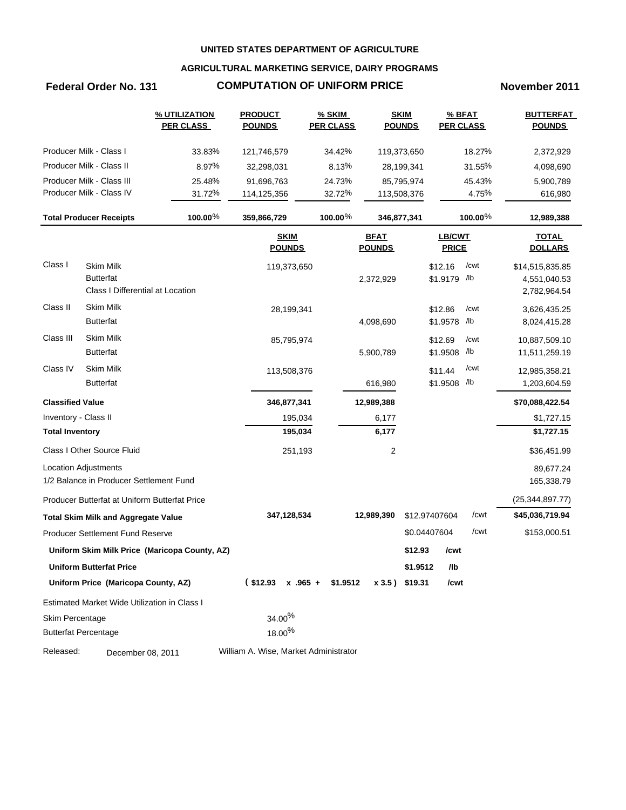## **AGRICULTURAL MARKETING SERVICE, DAIRY PROGRAMS**

# **Federal Order No. 131 COMPUTATION OF UNIFORM PRICE November 2011**

|                         |                                                                          | % UTILIZATION<br><b>PER CLASS</b>             | <b>PRODUCT</b><br><b>POUNDS</b>       | <b>% SKIM</b><br><b>PER CLASS</b> |                              | <b>SKIM</b><br><b>POUNDS</b> | % BFAT<br><b>PER CLASS</b>    |            | <b>BUTTERFAT</b><br><b>POUNDS</b>               |
|-------------------------|--------------------------------------------------------------------------|-----------------------------------------------|---------------------------------------|-----------------------------------|------------------------------|------------------------------|-------------------------------|------------|-------------------------------------------------|
|                         | Producer Milk - Class I                                                  | 33.83%                                        | 121,746,579                           | 34.42%                            |                              | 119,373,650                  |                               | 18.27%     | 2,372,929                                       |
|                         | Producer Milk - Class II                                                 | 8.97%                                         | 32,298,031                            | 8.13%                             |                              | 28,199,341                   |                               | 31.55%     | 4,098,690                                       |
|                         | Producer Milk - Class III                                                | 25.48%                                        | 91,696,763                            | 24.73%                            |                              | 85,795,974                   |                               | 45.43%     | 5,900,789                                       |
|                         | Producer Milk - Class IV                                                 | 31.72%                                        | 114,125,356                           | 32.72%                            |                              | 113,508,376                  |                               | 4.75%      | 616,980                                         |
|                         | <b>Total Producer Receipts</b>                                           | 100.00%                                       | 359,866,729                           | 100.00 $%$                        |                              | 346,877,341                  |                               | $100.00\%$ | 12,989,388                                      |
|                         |                                                                          |                                               | <b>SKIM</b><br><b>POUNDS</b>          |                                   | <b>BFAT</b><br><b>POUNDS</b> |                              | <b>LB/CWT</b><br><b>PRICE</b> |            | <b>TOTAL</b><br><b>DOLLARS</b>                  |
| Class I                 | <b>Skim Milk</b><br><b>Butterfat</b><br>Class I Differential at Location |                                               | 119,373,650                           |                                   | 2,372,929                    |                              | \$12.16<br>\$1.9179 /lb       | /cwt       | \$14,515,835.85<br>4,551,040.53<br>2,782,964.54 |
| Class II                | <b>Skim Milk</b><br><b>Butterfat</b>                                     |                                               | 28,199,341                            |                                   | 4,098,690                    |                              | \$12.86<br>\$1.9578 /lb       | /cwt       | 3,626,435.25<br>8,024,415.28                    |
| Class III               | Skim Milk<br><b>Butterfat</b>                                            |                                               | 85,795,974                            |                                   | 5,900,789                    |                              | \$12.69<br>\$1.9508 /lb       | /cwt       | 10,887,509.10<br>11,511,259.19                  |
| Class IV                | Skim Milk<br><b>Butterfat</b>                                            |                                               | 113,508,376                           |                                   | 616,980                      |                              | \$11.44<br>\$1.9508 /lb       | /cwt       | 12,985,358.21<br>1,203,604.59                   |
| <b>Classified Value</b> |                                                                          |                                               | 346,877,341                           |                                   | 12,989,388                   |                              |                               |            | \$70,088,422.54                                 |
| Inventory - Class II    |                                                                          |                                               | 195,034                               |                                   | 6,177                        |                              |                               |            | \$1,727.15                                      |
| <b>Total Inventory</b>  |                                                                          |                                               | 195,034                               |                                   | 6,177                        |                              |                               |            | \$1,727.15                                      |
|                         | Class I Other Source Fluid                                               |                                               | 251,193                               |                                   | 2                            |                              |                               |            | \$36,451.99                                     |
|                         | <b>Location Adjustments</b><br>1/2 Balance in Producer Settlement Fund   |                                               |                                       |                                   |                              |                              |                               |            | 89,677.24<br>165,338.79                         |
|                         | Producer Butterfat at Uniform Butterfat Price                            |                                               |                                       |                                   |                              |                              |                               |            | (25, 344, 897.77)                               |
|                         | <b>Total Skim Milk and Aggregate Value</b>                               |                                               | 347,128,534                           |                                   | 12,989,390                   |                              | \$12.97407604                 | /cwt       | \$45,036,719.94                                 |
|                         | Producer Settlement Fund Reserve                                         |                                               |                                       |                                   |                              |                              | \$0.04407604                  | /cwt       | \$153,000.51                                    |
|                         |                                                                          | Uniform Skim Milk Price (Maricopa County, AZ) |                                       |                                   |                              | \$12.93                      | /cwt                          |            |                                                 |
|                         | <b>Uniform Butterfat Price</b>                                           |                                               |                                       |                                   |                              | \$1.9512                     | /lb                           |            |                                                 |
|                         | Uniform Price (Maricopa County, AZ)                                      |                                               | $$12.93 \times .965 + $1.9512$        |                                   |                              | x 3.5) \$19.31               | /cwt                          |            |                                                 |
|                         | Estimated Market Wide Utilization in Class I                             |                                               |                                       |                                   |                              |                              |                               |            |                                                 |
| Skim Percentage         |                                                                          |                                               | $34.00\%$                             |                                   |                              |                              |                               |            |                                                 |
|                         | <b>Butterfat Percentage</b>                                              |                                               | $18.00\%$                             |                                   |                              |                              |                               |            |                                                 |
| Released:               | December 08, 2011                                                        |                                               | William A. Wise, Market Administrator |                                   |                              |                              |                               |            |                                                 |